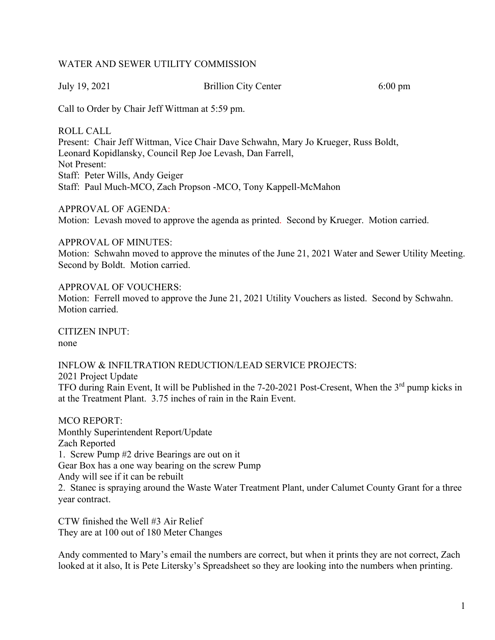# WATER AND SEWER UTILITY COMMISSION

July 19, 2021 Brillion City Center 6:00 pm

Call to Order by Chair Jeff Wittman at 5:59 pm.

ROLL CALL Present: Chair Jeff Wittman, Vice Chair Dave Schwahn, Mary Jo Krueger, Russ Boldt, Leonard Kopidlansky, Council Rep Joe Levash, Dan Farrell, Not Present: Staff: Peter Wills, Andy Geiger Staff: Paul Much-MCO, Zach Propson -MCO, Tony Kappell-McMahon

APPROVAL OF AGENDA: Motion: Levash moved to approve the agenda as printed. Second by Krueger. Motion carried.

APPROVAL OF MINUTES:

Motion: Schwahn moved to approve the minutes of the June 21, 2021 Water and Sewer Utility Meeting. Second by Boldt. Motion carried.

APPROVAL OF VOUCHERS: Motion: Ferrell moved to approve the June 21, 2021 Utility Vouchers as listed. Second by Schwahn. Motion carried.

CITIZEN INPUT: none

INFLOW & INFILTRATION REDUCTION/LEAD SERVICE PROJECTS: 2021 Project Update TFO during Rain Event, It will be Published in the 7-20-2021 Post-Cresent, When the 3<sup>rd</sup> pump kicks in at the Treatment Plant. 3.75 inches of rain in the Rain Event.

MCO REPORT: Monthly Superintendent Report/Update Zach Reported 1. Screw Pump #2 drive Bearings are out on it Gear Box has a one way bearing on the screw Pump Andy will see if it can be rebuilt 2. Stanec is spraying around the Waste Water Treatment Plant, under Calumet County Grant for a three year contract.

CTW finished the Well #3 Air Relief They are at 100 out of 180 Meter Changes

Andy commented to Mary's email the numbers are correct, but when it prints they are not correct, Zach looked at it also, It is Pete Litersky's Spreadsheet so they are looking into the numbers when printing.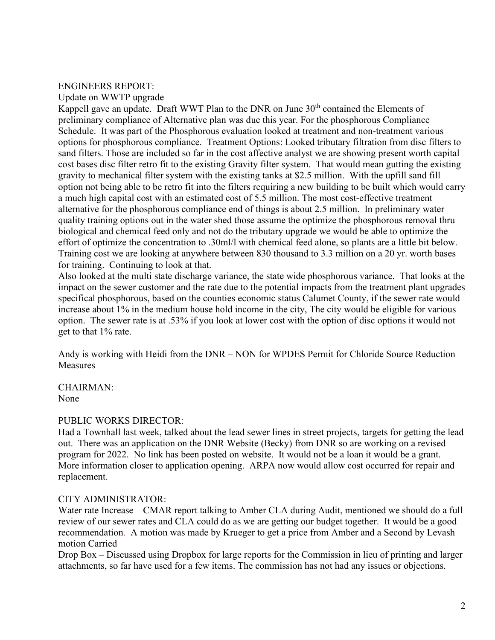# ENGINEERS REPORT:

Update on WWTP upgrade

Kappell gave an update. Draft WWT Plan to the DNR on June 30<sup>th</sup> contained the Elements of preliminary compliance of Alternative plan was due this year. For the phosphorous Compliance Schedule. It was part of the Phosphorous evaluation looked at treatment and non-treatment various options for phosphorous compliance. Treatment Options: Looked tributary filtration from disc filters to sand filters. Those are included so far in the cost affective analyst we are showing present worth capital cost bases disc filter retro fit to the existing Gravity filter system. That would mean gutting the existing gravity to mechanical filter system with the existing tanks at \$2.5 million. With the upfill sand fill option not being able to be retro fit into the filters requiring a new building to be built which would carry a much high capital cost with an estimated cost of 5.5 million. The most cost-effective treatment alternative for the phosphorous compliance end of things is about 2.5 million. In preliminary water quality training options out in the water shed those assume the optimize the phosphorous removal thru biological and chemical feed only and not do the tributary upgrade we would be able to optimize the effort of optimize the concentration to .30ml/l with chemical feed alone, so plants are a little bit below. Training cost we are looking at anywhere between 830 thousand to 3.3 million on a 20 yr. worth bases for training. Continuing to look at that.

Also looked at the multi state discharge variance, the state wide phosphorous variance. That looks at the impact on the sewer customer and the rate due to the potential impacts from the treatment plant upgrades specifical phosphorous, based on the counties economic status Calumet County, if the sewer rate would increase about 1% in the medium house hold income in the city, The city would be eligible for various option. The sewer rate is at .53% if you look at lower cost with the option of disc options it would not get to that 1% rate.

Andy is working with Heidi from the DNR – NON for WPDES Permit for Chloride Source Reduction Measures

CHAIRMAN: None

# PUBLIC WORKS DIRECTOR:

Had a Townhall last week, talked about the lead sewer lines in street projects, targets for getting the lead out. There was an application on the DNR Website (Becky) from DNR so are working on a revised program for 2022. No link has been posted on website. It would not be a loan it would be a grant. More information closer to application opening. ARPA now would allow cost occurred for repair and replacement.

# CITY ADMINISTRATOR:

Water rate Increase – CMAR report talking to Amber CLA during Audit, mentioned we should do a full review of our sewer rates and CLA could do as we are getting our budget together. It would be a good recommendation. A motion was made by Krueger to get a price from Amber and a Second by Levash motion Carried

Drop Box – Discussed using Dropbox for large reports for the Commission in lieu of printing and larger attachments, so far have used for a few items. The commission has not had any issues or objections.